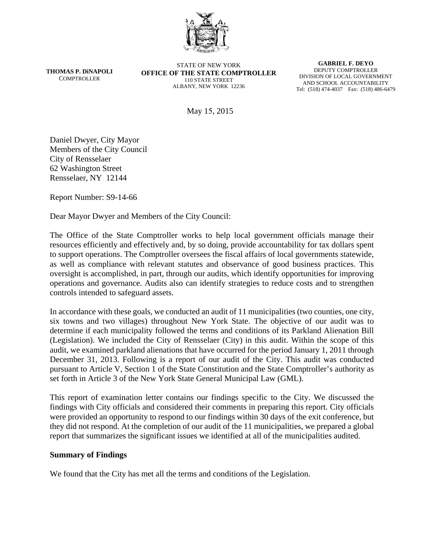

**THOMAS P. DiNAPOLI COMPTROLLER** 

STATE OF NEW YORK **OFFICE OF THE STATE COMPTROLLER**  110 STATE STREET ALBANY, NEW YORK 12236

**GABRIEL F. DEYO**  DEPUTY COMPTROLLER DIVISION OF LOCAL GOVERNMENT AND SCHOOL ACCOUNTABILITY Tel: (518) 474-4037 Fax: (518) 486-6479

May 15, 2015

Daniel Dwyer, City Mayor Members of the City Council City of Rensselaer 62 Washington Street Rensselaer, NY 12144

Report Number: S9-14-66

Dear Mayor Dwyer and Members of the City Council:

The Office of the State Comptroller works to help local government officials manage their resources efficiently and effectively and, by so doing, provide accountability for tax dollars spent to support operations. The Comptroller oversees the fiscal affairs of local governments statewide, as well as compliance with relevant statutes and observance of good business practices. This oversight is accomplished, in part, through our audits, which identify opportunities for improving operations and governance. Audits also can identify strategies to reduce costs and to strengthen controls intended to safeguard assets.

In accordance with these goals, we conducted an audit of 11 municipalities (two counties, one city, six towns and two villages) throughout New York State. The objective of our audit was to determine if each municipality followed the terms and conditions of its Parkland Alienation Bill (Legislation). We included the City of Rensselaer (City) in this audit. Within the scope of this audit, we examined parkland alienations that have occurred for the period January 1, 2011 through December 31, 2013. Following is a report of our audit of the City. This audit was conducted pursuant to Article V, Section 1 of the State Constitution and the State Comptroller's authority as set forth in Article 3 of the New York State General Municipal Law (GML).

This report of examination letter contains our findings specific to the City. We discussed the findings with City officials and considered their comments in preparing this report. City officials were provided an opportunity to respond to our findings within 30 days of the exit conference, but they did not respond. At the completion of our audit of the 11 municipalities, we prepared a global report that summarizes the significant issues we identified at all of the municipalities audited.

### **Summary of Findings**

We found that the City has met all the terms and conditions of the Legislation.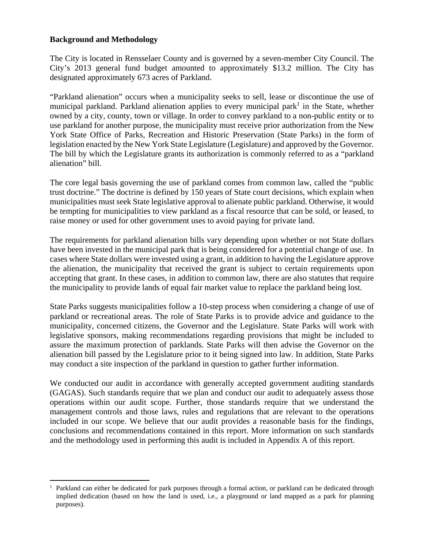### **Background and Methodology**

 $\overline{a}$ 

The City is located in Rensselaer County and is governed by a seven-member City Council. The City's 2013 general fund budget amounted to approximately \$13.2 million. The City has designated approximately 673 acres of Parkland.

"Parkland alienation" occurs when a municipality seeks to sell, lease or discontinue the use of municipal parkland. Parkland alienation applies to every municipal park<sup>1</sup> in the State, whether owned by a city, county, town or village. In order to convey parkland to a non-public entity or to use parkland for another purpose, the municipality must receive prior authorization from the New York State Office of Parks, Recreation and Historic Preservation (State Parks) in the form of legislation enacted by the New York State Legislature (Legislature) and approved by the Governor. The bill by which the Legislature grants its authorization is commonly referred to as a "parkland alienation" bill.

The core legal basis governing the use of parkland comes from common law, called the "public trust doctrine." The doctrine is defined by 150 years of State court decisions, which explain when municipalities must seek State legislative approval to alienate public parkland. Otherwise, it would be tempting for municipalities to view parkland as a fiscal resource that can be sold, or leased, to raise money or used for other government uses to avoid paying for private land.

The requirements for parkland alienation bills vary depending upon whether or not State dollars have been invested in the municipal park that is being considered for a potential change of use. In cases where State dollars were invested using a grant, in addition to having the Legislature approve the alienation, the municipality that received the grant is subject to certain requirements upon accepting that grant. In these cases, in addition to common law, there are also statutes that require the municipality to provide lands of equal fair market value to replace the parkland being lost.

State Parks suggests municipalities follow a 10-step process when considering a change of use of parkland or recreational areas. The role of State Parks is to provide advice and guidance to the municipality, concerned citizens, the Governor and the Legislature. State Parks will work with legislative sponsors, making recommendations regarding provisions that might be included to assure the maximum protection of parklands. State Parks will then advise the Governor on the alienation bill passed by the Legislature prior to it being signed into law. In addition, State Parks may conduct a site inspection of the parkland in question to gather further information.

We conducted our audit in accordance with generally accepted government auditing standards (GAGAS). Such standards require that we plan and conduct our audit to adequately assess those operations within our audit scope. Further, those standards require that we understand the management controls and those laws, rules and regulations that are relevant to the operations included in our scope. We believe that our audit provides a reasonable basis for the findings, conclusions and recommendations contained in this report. More information on such standards and the methodology used in performing this audit is included in Appendix A of this report.

<sup>1</sup> Parkland can either be dedicated for park purposes through a formal action, or parkland can be dedicated through implied dedication (based on how the land is used, i.e., a playground or land mapped as a park for planning purposes).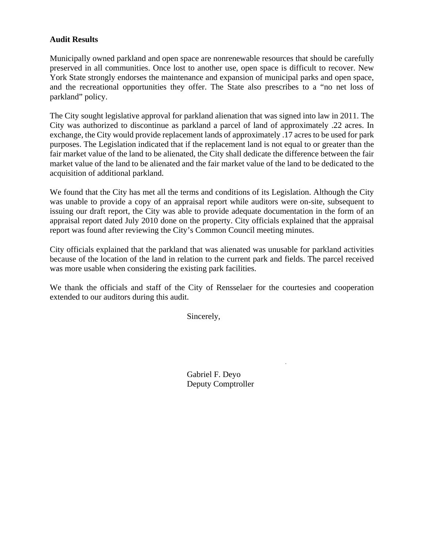## **Audit Results**

Municipally owned parkland and open space are nonrenewable resources that should be carefully preserved in all communities. Once lost to another use, open space is difficult to recover. New York State strongly endorses the maintenance and expansion of municipal parks and open space, and the recreational opportunities they offer. The State also prescribes to a "no net loss of parkland" policy.

The City sought legislative approval for parkland alienation that was signed into law in 2011. The City was authorized to discontinue as parkland a parcel of land of approximately .22 acres. In exchange, the City would provide replacement lands of approximately .17 acres to be used for park purposes. The Legislation indicated that if the replacement land is not equal to or greater than the fair market value of the land to be alienated, the City shall dedicate the difference between the fair market value of the land to be alienated and the fair market value of the land to be dedicated to the acquisition of additional parkland.

We found that the City has met all the terms and conditions of its Legislation. Although the City was unable to provide a copy of an appraisal report while auditors were on-site, subsequent to issuing our draft report, the City was able to provide adequate documentation in the form of an appraisal report dated July 2010 done on the property. City officials explained that the appraisal report was found after reviewing the City's Common Council meeting minutes.

City officials explained that the parkland that was alienated was unusable for parkland activities because of the location of the land in relation to the current park and fields. The parcel received was more usable when considering the existing park facilities.

We thank the officials and staff of the City of Rensselaer for the courtesies and cooperation extended to our auditors during this audit.

Sincerely,

Gabriel F. Deyo Deputy Comptroller